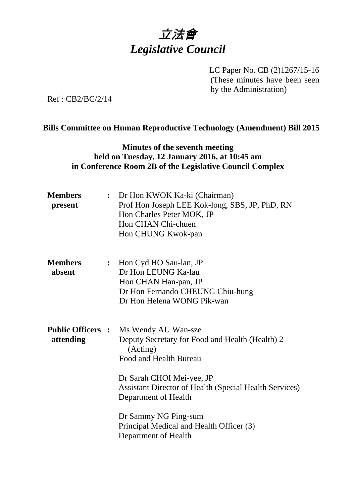

LC Paper No. CB (2)1267/15-16 (These minutes have been seen by the Administration)

Ref : CB2/BC/2/14

#### **Bills Committee on Human Reproductive Technology (Amendment) Bill 2015**

#### **Minutes of the seventh meeting held on Tuesday, 12 January 2016, at 10:45 am in Conference Room 2B of the Legislative Council Complex**

| <b>Members</b><br>present             | : Dr Hon KWOK Ka-ki (Chairman)<br>Prof Hon Joseph LEE Kok-long, SBS, JP, PhD, RN<br>Hon Charles Peter MOK, JP<br>Hon CHAN Chi-chuen<br>Hon CHUNG Kwok-pan                                                                                                                                                                      |
|---------------------------------------|--------------------------------------------------------------------------------------------------------------------------------------------------------------------------------------------------------------------------------------------------------------------------------------------------------------------------------|
| <b>Members</b><br>absent              | : Hon Cyd HO Sau-lan, JP<br>Dr Hon LEUNG Ka-lau<br>Hon CHAN Han-pan, JP<br>Dr Hon Fernando CHEUNG Chiu-hung<br>Dr Hon Helena WONG Pik-wan                                                                                                                                                                                      |
| <b>Public Officers :</b><br>attending | Ms Wendy AU Wan-sze<br>Deputy Secretary for Food and Health (Health) 2<br>(Acting)<br>Food and Health Bureau<br>Dr Sarah CHOI Mei-yee, JP<br><b>Assistant Director of Health (Special Health Services)</b><br>Department of Health<br>Dr Sammy NG Ping-sum<br>Principal Medical and Health Officer (3)<br>Department of Health |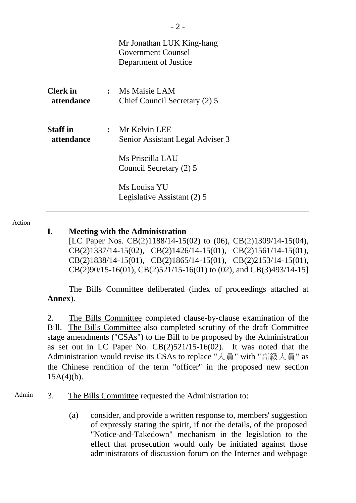|                                      | Mr Jonathan LUK King-hang<br><b>Government Counsel</b><br>Department of Justice                      |
|--------------------------------------|------------------------------------------------------------------------------------------------------|
| <b>Clerk</b> in<br>attendance        | : Ms Maisie LAM<br>Chief Council Secretary (2) 5                                                     |
| <b>Staff</b> in<br><i>attendance</i> | $:$ Mr Kelvin LEE<br>Senior Assistant Legal Adviser 3<br>Ms Priscilla LAU<br>Council Secretary (2) 5 |
|                                      | Ms Louisa YU<br>Legislative Assistant (2) 5                                                          |

Action

## **I. Meeting with the Administration**

[LC Paper Nos. CB(2)1188/14-15(02) to (06), CB(2)1309/14-15(04), CB(2)1337/14-15(02), CB(2)1426/14-15(01), CB(2)1561/14-15(01), CB(2)1838/14-15(01), CB(2)1865/14-15(01), CB(2)2153/14-15(01), CB(2)90/15-16(01), CB(2)521/15-16(01) to (02), and CB(3)493/14-15]

The Bills Committee deliberated (index of proceedings attached at **Annex**).

2. The Bills Committee completed clause-by-clause examination of the Bill. The Bills Committee also completed scrutiny of the draft Committee stage amendments ("CSAs") to the Bill to be proposed by the Administration as set out in LC Paper No. CB(2)521/15-16(02). It was noted that the Administration would revise its CSAs to replace " $\lambda \equiv$  " with "高級人員" as the Chinese rendition of the term "officer" in the proposed new section  $15A(4)(b)$ .

- Admin 3. The Bills Committee requested the Administration to:
	- (a) consider, and provide a written response to, members' suggestion of expressly stating the spirit, if not the details, of the proposed "Notice-and-Takedown" mechanism in the legislation to the effect that prosecution would only be initiated against those administrators of discussion forum on the Internet and webpage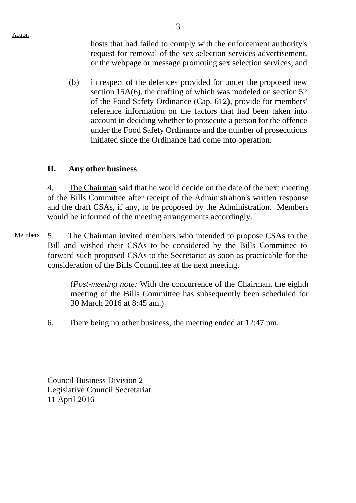hosts that had failed to comply with the enforcement authority's request for removal of the sex selection services advertisement, or the webpage or message promoting sex selection services; and

(b) in respect of the defences provided for under the proposed new section 15A(6), the drafting of which was modeled on section 52 of the Food Safety Ordinance (Cap. 612), provide for members' reference information on the factors that had been taken into account in deciding whether to prosecute a person for the offence under the Food Safety Ordinance and the number of prosecutions initiated since the Ordinance had come into operation.

## **II. Any other business**

4. The Chairman said that he would decide on the date of the next meeting of the Bills Committee after receipt of the Administration's written response and the draft CSAs, if any, to be proposed by the Administration. Members would be informed of the meeting arrangements accordingly.

Members 5. The Chairman invited members who intended to propose CSAs to the Bill and wished their CSAs to be considered by the Bills Committee to forward such proposed CSAs to the Secretariat as soon as practicable for the consideration of the Bills Committee at the next meeting.

> (*Post-meeting note:* With the concurrence of the Chairman, the eighth meeting of the Bills Committee has subsequently been scheduled for 30 March 2016 at 8:45 am.)

6. There being no other business, the meeting ended at 12:47 pm.

Council Business Division 2 Legislative Council Secretariat 11 April 2016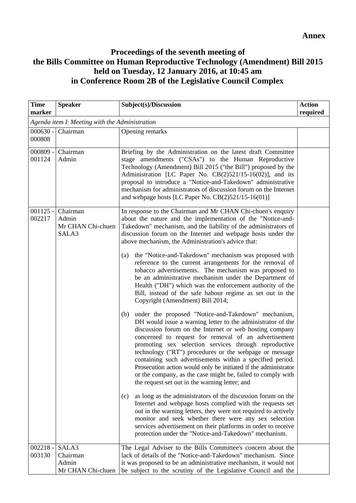# **Proceedings of the seventh meeting of the Bills Committee on Human Reproductive Technology (Amendment) Bill 2015 held on Tuesday, 12 January 2016, at 10:45 am in Conference Room 2B of the Legislative Council Complex**

| <b>Time</b><br>marker                          | <b>Speaker</b>                                  | Subject(s)/Discussion                                                                                                                                                                                                                                                                                                                                                                                                                                                                                                                                                                                                                                                                                                                                                                                                                                                                                                                                                                                                                                                                                                                                                                                                                                                                                                                                                                                                                                                                                                                                                                                                                                                                                                                        | <b>Action</b><br>required |
|------------------------------------------------|-------------------------------------------------|----------------------------------------------------------------------------------------------------------------------------------------------------------------------------------------------------------------------------------------------------------------------------------------------------------------------------------------------------------------------------------------------------------------------------------------------------------------------------------------------------------------------------------------------------------------------------------------------------------------------------------------------------------------------------------------------------------------------------------------------------------------------------------------------------------------------------------------------------------------------------------------------------------------------------------------------------------------------------------------------------------------------------------------------------------------------------------------------------------------------------------------------------------------------------------------------------------------------------------------------------------------------------------------------------------------------------------------------------------------------------------------------------------------------------------------------------------------------------------------------------------------------------------------------------------------------------------------------------------------------------------------------------------------------------------------------------------------------------------------------|---------------------------|
| Agenda item I: Meeting with the Administration |                                                 |                                                                                                                                                                                                                                                                                                                                                                                                                                                                                                                                                                                                                                                                                                                                                                                                                                                                                                                                                                                                                                                                                                                                                                                                                                                                                                                                                                                                                                                                                                                                                                                                                                                                                                                                              |                           |
| $000630 -$<br>000808                           | Chairman                                        | Opening remarks                                                                                                                                                                                                                                                                                                                                                                                                                                                                                                                                                                                                                                                                                                                                                                                                                                                                                                                                                                                                                                                                                                                                                                                                                                                                                                                                                                                                                                                                                                                                                                                                                                                                                                                              |                           |
| $000809 -$<br>001124                           | Chairman<br>Admin                               | Briefing by the Administration on the latest draft Committee<br>stage amendments ("CSAs") to the Human Reproductive<br>Technology (Amendment) Bill 2015 ("the Bill") proposed by the<br>Administration [LC Paper No. CB(2)521/15-16(02)], and its<br>proposal to introduce a "Notice-and-Takedown" administrative<br>mechanism for administrators of discussion forum on the Internet<br>and webpage hosts [LC Paper No. CB(2)521/15-16(01)]                                                                                                                                                                                                                                                                                                                                                                                                                                                                                                                                                                                                                                                                                                                                                                                                                                                                                                                                                                                                                                                                                                                                                                                                                                                                                                 |                           |
| $001125 -$<br>002217                           | Chairman<br>Admin<br>Mr CHAN Chi-chuen<br>SALA3 | In response to the Chairman and Mr CHAN Chi-chuen's enquiry<br>about the nature and the implementation of the "Notice-and-<br>Takedown" mechanism, and the liability of the administrators of<br>discussion forum on the Internet and webpage hosts under the<br>above mechanism, the Administration's advice that:<br>the "Notice-and-Takedown" mechanism was proposed with<br>(a)<br>reference to the current arrangements for the removal of<br>tobacco advertisements. The mechanism was proposed to<br>be an administrative mechanism under the Department of<br>Health ("DH") which was the enforcement authority of the<br>Bill, instead of the safe habour regime as set out in the<br>Copyright (Amendment) Bill 2014;<br>under the proposed "Notice-and-Takedown" mechanism,<br>(b)<br>DH would issue a warning letter to the administrator of the<br>discussion forum on the Internet or web hosting company<br>concerned to request for removal of an advertisement<br>promoting sex selection services through reproductive<br>technology ("RT") procedures or the webpage or message<br>containing such advertisements within a specified period.<br>Prosecution action would only be initiated if the administrator<br>or the company, as the case might be, failed to comply with<br>the request set out in the warning letter; and<br>as long as the administrators of the discussion forum on the<br>(c)<br>Internet and webpage hosts complied with the requests set<br>out in the warning letters, they were not required to actively<br>monitor and seek whether there were any sex selection<br>services advertisement on their platforms in order to receive<br>protection under the "Notice-and-Takedown" mechanism. |                           |
| $002218 -$                                     | SALA3                                           | The Legal Adviser to the Bills Committee's concern about the                                                                                                                                                                                                                                                                                                                                                                                                                                                                                                                                                                                                                                                                                                                                                                                                                                                                                                                                                                                                                                                                                                                                                                                                                                                                                                                                                                                                                                                                                                                                                                                                                                                                                 |                           |
| 003130                                         | Chairman<br>Admin<br>Mr CHAN Chi-chuen          | lack of details of the "Notice-and-Takedown" mechanism. Since<br>it was proposed to be an administrative mechanism, it would not<br>be subject to the scrutiny of the Legislative Council and the                                                                                                                                                                                                                                                                                                                                                                                                                                                                                                                                                                                                                                                                                                                                                                                                                                                                                                                                                                                                                                                                                                                                                                                                                                                                                                                                                                                                                                                                                                                                            |                           |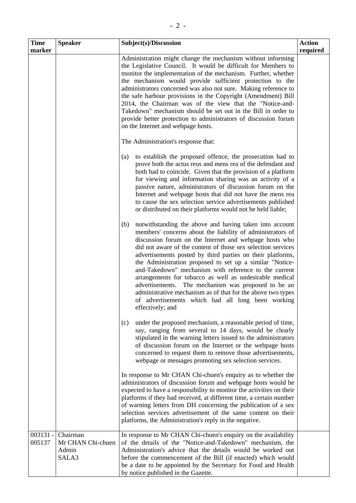| <b>Time</b><br>marker | <b>Speaker</b>                                  | Subject(s)/Discussion                                                                                                                                                                                                                                                                                                                                                                                                                                                                                                                                                                                                                                                                                                                                                                                                                                                                                   | <b>Action</b><br>required |
|-----------------------|-------------------------------------------------|---------------------------------------------------------------------------------------------------------------------------------------------------------------------------------------------------------------------------------------------------------------------------------------------------------------------------------------------------------------------------------------------------------------------------------------------------------------------------------------------------------------------------------------------------------------------------------------------------------------------------------------------------------------------------------------------------------------------------------------------------------------------------------------------------------------------------------------------------------------------------------------------------------|---------------------------|
|                       |                                                 | Administration might change the mechanism without informing<br>the Legislative Council. It would be difficult for Members to<br>monitor the implementation of the mechanism. Further, whether<br>the mechanism would provide sufficient protection to the<br>administrators concerned was also not sure. Making reference to<br>the safe harbour provisions in the Copyright (Amendment) Bill<br>2014, the Chairman was of the view that the "Notice-and-<br>Takedown" mechanism should be set out in the Bill in order to<br>provide better protection to administrators of discussion forum<br>on the Internet and webpage hosts.                                                                                                                                                                                                                                                                     |                           |
|                       |                                                 | The Administration's response that:                                                                                                                                                                                                                                                                                                                                                                                                                                                                                                                                                                                                                                                                                                                                                                                                                                                                     |                           |
|                       |                                                 | to establish the proposed offence, the prosecution had to<br>(a)<br>prove both the actus reus and mens rea of the defendant and<br>both had to coincide. Given that the provision of a platform<br>for viewing and information sharing was an activity of a<br>passive nature, administrators of discussion forum on the<br>Internet and webpage hosts that did not have the mens rea<br>to cause the sex selection service advertisements published<br>or distributed on their platforms would not be held liable;<br>notwithstanding the above and having taken into account<br>(b)<br>members' concerns about the liability of administrators of<br>discussion forum on the Internet and webpage hosts who<br>did not aware of the content of those sex selection services<br>advertisements posted by third parties on their platforms,<br>the Administration proposed to set up a similar "Notice- |                           |
|                       |                                                 | and-Takedown" mechanism with reference to the current<br>arrangements for tobacco as well as undesirable medical<br>advertisements. The mechanism was proposed to be an<br>administrative mechanism as of that for the above two types<br>of advertisements which had all long been working<br>effectively; and                                                                                                                                                                                                                                                                                                                                                                                                                                                                                                                                                                                         |                           |
|                       |                                                 | under the proposed mechanism, a reasonable period of time,<br>(c)<br>say, ranging from several to 14 days, would be clearly<br>stipulated in the warning letters issued to the administrators<br>of discussion forum on the Internet or the webpage hosts<br>concerned to request them to remove those advertisements,<br>webpage or messages promoting sex selection services.                                                                                                                                                                                                                                                                                                                                                                                                                                                                                                                         |                           |
|                       |                                                 | In response to Mr CHAN Chi-chuen's enquiry as to whether the<br>administrators of discussion forum and webpage hosts would be<br>expected to have a responsibility to monitor the activities on their<br>platforms if they had received, at different time, a certain number<br>of warning letters from DH concerning the publication of a sex<br>selection services advertisement of the same content on their<br>platforms, the Administration's reply in the negative.                                                                                                                                                                                                                                                                                                                                                                                                                               |                           |
| 003131 -<br>005137    | Chairman<br>Mr CHAN Chi-chuen<br>Admin<br>SALA3 | In response to Mr CHAN Chi-chuen's enquiry on the availability<br>of the details of the "Notice-and-Takedown" mechanism, the<br>Administration's advice that the details would be worked out<br>before the commencement of the Bill (if enacted) which would<br>be a date to be appointed by the Secretary for Food and Health<br>by notice published in the Gazette.                                                                                                                                                                                                                                                                                                                                                                                                                                                                                                                                   |                           |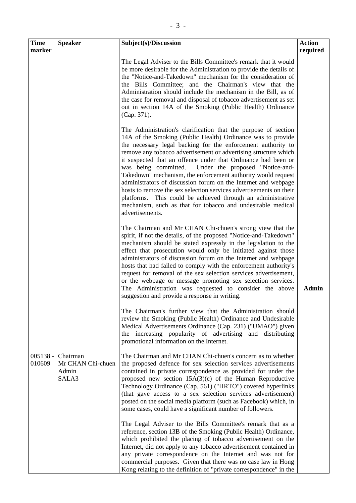| <b>Time</b>          | <b>Speaker</b>                                  | Subject(s)/Discussion                                                                                                                                                                                                                                                                                                                                                                                                                                                                                                                                                                                                                                                                                                                                                                                                                                                                                                              | <b>Action</b> |
|----------------------|-------------------------------------------------|------------------------------------------------------------------------------------------------------------------------------------------------------------------------------------------------------------------------------------------------------------------------------------------------------------------------------------------------------------------------------------------------------------------------------------------------------------------------------------------------------------------------------------------------------------------------------------------------------------------------------------------------------------------------------------------------------------------------------------------------------------------------------------------------------------------------------------------------------------------------------------------------------------------------------------|---------------|
| marker               |                                                 |                                                                                                                                                                                                                                                                                                                                                                                                                                                                                                                                                                                                                                                                                                                                                                                                                                                                                                                                    | required      |
|                      |                                                 | The Legal Adviser to the Bills Committee's remark that it would<br>be more desirable for the Administration to provide the details of<br>the "Notice-and-Takedown" mechanism for the consideration of<br>the Bills Committee; and the Chairman's view that the<br>Administration should include the mechanism in the Bill, as of<br>the case for removal and disposal of tobacco advertisement as set<br>out in section 14A of the Smoking (Public Health) Ordinance<br>(Cap. 371).                                                                                                                                                                                                                                                                                                                                                                                                                                                |               |
|                      |                                                 | The Administration's clarification that the purpose of section<br>14A of the Smoking (Public Health) Ordinance was to provide<br>the necessary legal backing for the enforcement authority to<br>remove any tobacco advertisement or advertising structure which<br>it suspected that an offence under that Ordinance had been or<br>was being committed.<br>Under the proposed "Notice-and-<br>Takedown" mechanism, the enforcement authority would request<br>administrators of discussion forum on the Internet and webpage<br>hosts to remove the sex selection services advertisements on their<br>platforms. This could be achieved through an administrative<br>mechanism, such as that for tobacco and undesirable medical<br>advertisements.                                                                                                                                                                              |               |
|                      |                                                 | The Chairman and Mr CHAN Chi-chuen's strong view that the<br>spirit, if not the details, of the proposed "Notice-and-Takedown"<br>mechanism should be stated expressly in the legislation to the<br>effect that prosecution would only be initiated against those<br>administrators of discussion forum on the Internet and webpage<br>hosts that had failed to comply with the enforcement authority's<br>request for removal of the sex selection services advertisement,<br>or the webpage or message promoting sex selection services.<br>The Administration was requested to consider the above<br>suggestion and provide a response in writing.                                                                                                                                                                                                                                                                              | <b>Admin</b>  |
|                      |                                                 | The Chairman's further view that the Administration should<br>review the Smoking (Public Health) Ordinance and Undesirable<br>Medical Advertisements Ordinance (Cap. 231) ("UMAO") given<br>the increasing popularity of advertising and distributing<br>promotional information on the Internet.                                                                                                                                                                                                                                                                                                                                                                                                                                                                                                                                                                                                                                  |               |
| $005138 -$<br>010609 | Chairman<br>Mr CHAN Chi-chuen<br>Admin<br>SALA3 | The Chairman and Mr CHAN Chi-chuen's concern as to whether<br>the proposed defence for sex selection services advertisements<br>contained in private correspondence as provided for under the<br>proposed new section $15A(3)(c)$ of the Human Reproductive<br>Technology Ordinance (Cap. 561) ("HRTO") covered hyperlinks<br>(that gave access to a sex selection services advertisement)<br>posted on the social media platform (such as Facebook) which, in<br>some cases, could have a significant number of followers.<br>The Legal Adviser to the Bills Committee's remark that as a<br>reference, section 13B of the Smoking (Public Health) Ordinance,<br>which prohibited the placing of tobacco advertisement on the<br>Internet, did not apply to any tobacco advertisement contained in<br>any private correspondence on the Internet and was not for<br>commercial purposes. Given that there was no case law in Hong |               |

Kong relating to the definition of "private correspondence" in the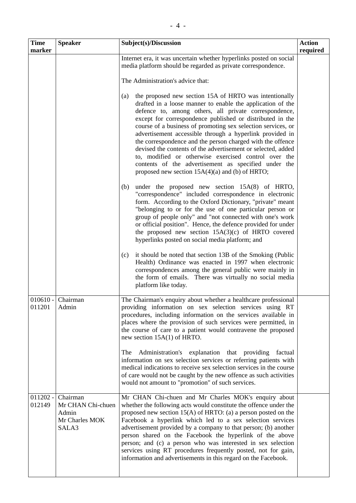| <b>Time</b><br>marker | <b>Speaker</b>                                                    | Subject(s)/Discussion                                                                                                                                                                                                                                                                                                                                                                                                                                                                                                                                                                                                                                                            | <b>Action</b><br>required |
|-----------------------|-------------------------------------------------------------------|----------------------------------------------------------------------------------------------------------------------------------------------------------------------------------------------------------------------------------------------------------------------------------------------------------------------------------------------------------------------------------------------------------------------------------------------------------------------------------------------------------------------------------------------------------------------------------------------------------------------------------------------------------------------------------|---------------------------|
|                       |                                                                   | Internet era, it was uncertain whether hyperlinks posted on social<br>media platform should be regarded as private correspondence.                                                                                                                                                                                                                                                                                                                                                                                                                                                                                                                                               |                           |
|                       |                                                                   | The Administration's advice that:                                                                                                                                                                                                                                                                                                                                                                                                                                                                                                                                                                                                                                                |                           |
|                       |                                                                   | the proposed new section 15A of HRTO was intentionally<br>(a)<br>drafted in a loose manner to enable the application of the<br>defence to, among others, all private correspondence,<br>except for correspondence published or distributed in the<br>course of a business of promoting sex selection services, or<br>advertisement accessible through a hyperlink provided in<br>the correspondence and the person charged with the offence<br>devised the contents of the advertisement or selected, added<br>to, modified or otherwise exercised control over the<br>contents of the advertisement as specified under the<br>proposed new section $15A(4)(a)$ and (b) of HRTO; |                           |
|                       |                                                                   | under the proposed new section 15A(8) of HRTO,<br>(b)<br>"correspondence" included correspondence in electronic<br>form. According to the Oxford Dictionary, "private" meant<br>"belonging to or for the use of one particular person or<br>group of people only" and "not connected with one's work<br>or official position". Hence, the defence provided for under<br>the proposed new section $15A(3)(c)$ of HRTO covered<br>hyperlinks posted on social media platform; and                                                                                                                                                                                                  |                           |
|                       |                                                                   | it should be noted that section 13B of the Smoking (Public<br>(c)<br>Health) Ordinance was enacted in 1997 when electronic<br>correspondences among the general public were mainly in<br>the form of emails. There was virtually no social media<br>platform like today.                                                                                                                                                                                                                                                                                                                                                                                                         |                           |
| $010610 -$<br>011201  | Chairman<br>Admin                                                 | The Chairman's enquiry about whether a healthcare professional<br>providing information on sex selection services using RT<br>procedures, including information on the services available in<br>places where the provision of such services were permitted, in<br>the course of care to a patient would contravene the proposed<br>new section $15A(1)$ of HRTO.                                                                                                                                                                                                                                                                                                                 |                           |
|                       |                                                                   | Administration's explanation that providing<br>The<br>factual<br>information on sex selection services or referring patients with<br>medical indications to receive sex selection services in the course<br>of care would not be caught by the new offence as such activities<br>would not amount to "promotion" of such services.                                                                                                                                                                                                                                                                                                                                               |                           |
| $011202 -$<br>012149  | Chairman<br>Mr CHAN Chi-chuen<br>Admin<br>Mr Charles MOK<br>SALA3 | Mr CHAN Chi-chuen and Mr Charles MOK's enquiry about<br>whether the following acts would constitute the offence under the<br>proposed new section $15(A)$ of HRTO: (a) a person posted on the<br>Facebook a hyperlink which led to a sex selection services<br>advertisement provided by a company to that person; (b) another<br>person shared on the Facebook the hyperlink of the above<br>person; and (c) a person who was interested in sex selection<br>services using RT procedures frequently posted, not for gain,<br>information and advertisements in this regard on the Facebook.                                                                                    |                           |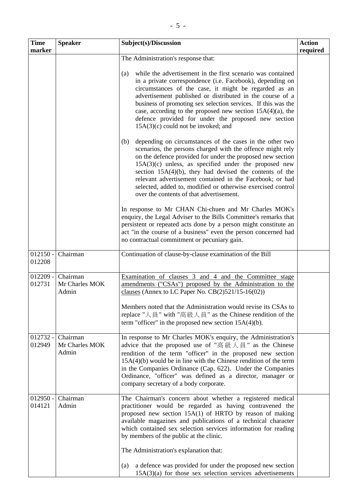| <b>Time</b><br>marker | <b>Speaker</b>                      | Subject(s)/Discussion                                                                                                                                                                                                                                                                                                                                                                                                                                                                       | <b>Action</b><br>required |
|-----------------------|-------------------------------------|---------------------------------------------------------------------------------------------------------------------------------------------------------------------------------------------------------------------------------------------------------------------------------------------------------------------------------------------------------------------------------------------------------------------------------------------------------------------------------------------|---------------------------|
|                       |                                     | The Administration's response that:                                                                                                                                                                                                                                                                                                                                                                                                                                                         |                           |
|                       |                                     | while the advertisement in the first scenario was contained<br>(a)<br>in a private correspondence (i.e. Facebook), depending on<br>circumstances of the case, it might be regarded as an<br>advertisement published or distributed in the course of a<br>business of promoting sex selection services. If this was the<br>case, according to the proposed new section $15A(4)(a)$ , the<br>defence provided for under the proposed new section<br>$15A(3)(c)$ could not be invoked; and     |                           |
|                       |                                     | (b)<br>depending on circumstances of the cases in the other two<br>scenarios, the persons charged with the offence might rely<br>on the defence provided for under the proposed new section<br>$15A(3)(c)$ unless, as specified under the proposed new<br>section $15A(4)(b)$ , they had devised the contents of the<br>relevant advertisement contained in the Facebook; or had<br>selected, added to, modified or otherwise exercised control<br>over the contents of that advertisement. |                           |
|                       |                                     | In response to Mr CHAN Chi-chuen and Mr Charles MOK's<br>enquiry, the Legal Adviser to the Bills Committee's remarks that<br>persistent or repeated acts done by a person might constitute an<br>act "in the course of a business" even the person concerned had<br>no contractual commitment or pecuniary gain.                                                                                                                                                                            |                           |
| $012150 -$<br>012208  | Chairman                            | Continuation of clause-by-clause examination of the Bill                                                                                                                                                                                                                                                                                                                                                                                                                                    |                           |
| $012209 -$<br>012731  | Chairman<br>Mr Charles MOK<br>Admin | Examination of clauses 3 and 4 and the Committee stage<br>amendments ("CSAs") proposed by the Administration to the<br>clauses (Annex to LC Paper No. $CB(2)521/15-16(02))$<br>Members noted that the Administration would revise its CSAs to<br>replace "人員" with "高級人員" as the Chinese rendition of the<br>term "officer" in the proposed new section $15A(4)(b)$ .                                                                                                                       |                           |
| $012732 -$<br>012949  | Chairman<br>Mr Charles MOK<br>Admin | In response to Mr Charles MOK's enquiry, the Administration's<br>advice that the proposed use of "高級人員" as the Chinese<br>rendition of the term "officer" in the proposed new section<br>$15A(4)(b)$ would be in line with the Chinese rendition of the term<br>in the Companies Ordinance (Cap. 622). Under the Companies<br>Ordinance, "officer" was defined as a director, manager or<br>company secretary of a body corporate.                                                          |                           |
| $012950 -$<br>014121  | Chairman<br>Admin                   | The Chairman's concern about whether a registered medical<br>practitioner would be regarded as having contravened the<br>proposed new section 15A(1) of HRTO by reason of making<br>available magazines and publications of a technical character<br>which contained sex selection services information for reading<br>by members of the public at the clinic.                                                                                                                              |                           |
|                       |                                     | The Administration's explanation that:                                                                                                                                                                                                                                                                                                                                                                                                                                                      |                           |
|                       |                                     | a defence was provided for under the proposed new section<br>(a)<br>$15A(3)(a)$ for those sex selection services advertisements                                                                                                                                                                                                                                                                                                                                                             |                           |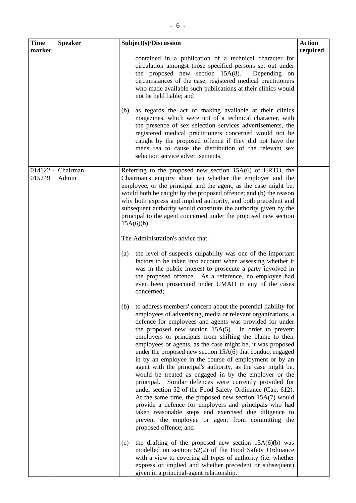| . .          |  |
|--------------|--|
|              |  |
| )/Discussion |  |
|              |  |

| Time<br>marker       | <b>Speaker</b>    | Subject(s)/Discussion                                                                                                                                                                                                                                                                                                                                                                                                                                                                                                                                                                                                                                                                                                                                                                                                                                                                                                                                                                                                       | <b>Action</b><br>required |
|----------------------|-------------------|-----------------------------------------------------------------------------------------------------------------------------------------------------------------------------------------------------------------------------------------------------------------------------------------------------------------------------------------------------------------------------------------------------------------------------------------------------------------------------------------------------------------------------------------------------------------------------------------------------------------------------------------------------------------------------------------------------------------------------------------------------------------------------------------------------------------------------------------------------------------------------------------------------------------------------------------------------------------------------------------------------------------------------|---------------------------|
|                      |                   | contained in a publication of a technical character for<br>circulation amongst those specified persons set out under<br>the proposed new section $15A(8)$ .<br>Depending on<br>circumstances of the case, registered medical practitioners<br>who made available such publications at their clinics would<br>not be held liable; and                                                                                                                                                                                                                                                                                                                                                                                                                                                                                                                                                                                                                                                                                        |                           |
|                      |                   | (b)<br>as regards the act of making available at their clinics<br>magazines, which were not of a technical character, with<br>the presence of sex selection services advertisements, the<br>registered medical practitioners concerned would not be<br>caught by the proposed offence if they did not have the<br>mens rea to cause the distribution of the relevant sex<br>selection service advertisements.                                                                                                                                                                                                                                                                                                                                                                                                                                                                                                                                                                                                               |                           |
| $014122 -$<br>015249 | Chairman<br>Admin | Referring to the proposed new section $15A(6)$ of HRTO, the<br>Chairman's enquiry about (a) whether the employer and the<br>employee, or the principal and the agent, as the case might be,<br>would both be caught by the proposed offence; and (b) the reason<br>why both express and implied authority, and both precedent and<br>subsequent authority would constitute the authority given by the<br>principal to the agent concerned under the proposed new section<br>$15A(6)(b)$ .                                                                                                                                                                                                                                                                                                                                                                                                                                                                                                                                   |                           |
|                      |                   | The Administration's advice that:                                                                                                                                                                                                                                                                                                                                                                                                                                                                                                                                                                                                                                                                                                                                                                                                                                                                                                                                                                                           |                           |
|                      |                   | the level of suspect's culpability was one of the important<br>(a)<br>factors to be taken into account when assessing whether it<br>was in the public interest to prosecute a party involved in<br>the proposed offence. As a reference, no employee had<br>even been prosecuted under UMAO in any of the cases<br>concerned;                                                                                                                                                                                                                                                                                                                                                                                                                                                                                                                                                                                                                                                                                               |                           |
|                      |                   | to address members' concern about the potential liability for<br>(b)<br>employees of advertising, media or relevant organizations, a<br>defence for employees and agents was provided for under<br>the proposed new section $15A(5)$ . In order to prevent<br>employers or principals from shifting the blame to their<br>employees or agents, as the case might be, it was proposed<br>under the proposed new section 15A(6) that conduct engaged<br>in by an employee in the course of employment or by an<br>agent with the principal's authority, as the case might be,<br>would be treated as engaged in by the employer or the<br>Similar defences were currently provided for<br>principal.<br>under section 52 of the Food Safety Ordinance (Cap. 612).<br>At the same time, the proposed new section 15A(7) would<br>provide a defence for employers and principals who had<br>taken reasonable steps and exercised due diligence to<br>prevent the employee or agent from committing the<br>proposed offence; and |                           |
|                      |                   | the drafting of the proposed new section $15A(6)(b)$ was<br>(c)<br>modelled on section 52(2) of the Food Safety Ordinance<br>with a view to covering all types of authority (i.e. whether<br>express or implied and whether precedent or subsequent)<br>given in a principal-agent relationship.                                                                                                                                                                                                                                                                                                                                                                                                                                                                                                                                                                                                                                                                                                                            |                           |